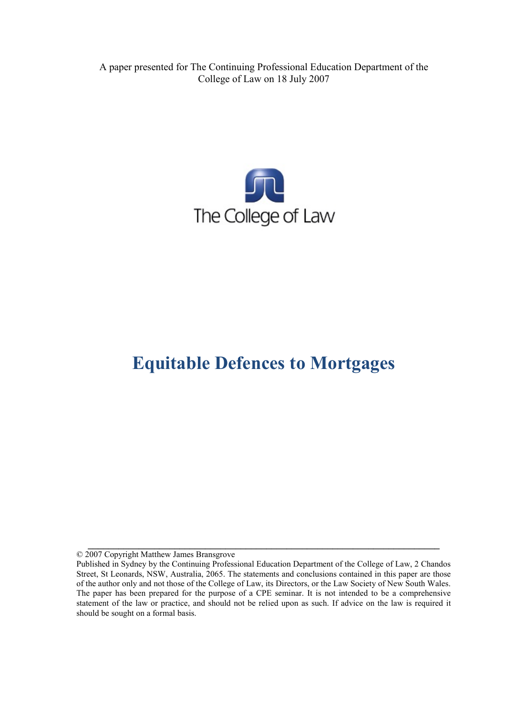A paper presented for The Continuing Professional Education Department of the College of Law on 18 July 2007



# **Equitable Defences to Mortgages**

© 2007 Copyright Matthew James Bransgrove

**\_\_\_\_\_\_\_\_\_\_\_\_\_\_\_\_\_\_\_\_\_\_\_\_\_\_\_\_\_\_\_\_\_\_\_\_\_\_\_\_\_\_\_\_\_\_\_\_\_\_\_\_\_\_\_\_\_\_\_\_\_\_\_\_\_\_\_\_\_**

Published in Sydney by the Continuing Professional Education Department of the College of Law, 2 Chandos Street, St Leonards, NSW, Australia, 2065. The statements and conclusions contained in this paper are those of the author only and not those of the College of Law, its Directors, or the Law Society of New South Wales. The paper has been prepared for the purpose of a CPE seminar. It is not intended to be a comprehensive statement of the law or practice, and should not be relied upon as such. If advice on the law is required it should be sought on a formal basis.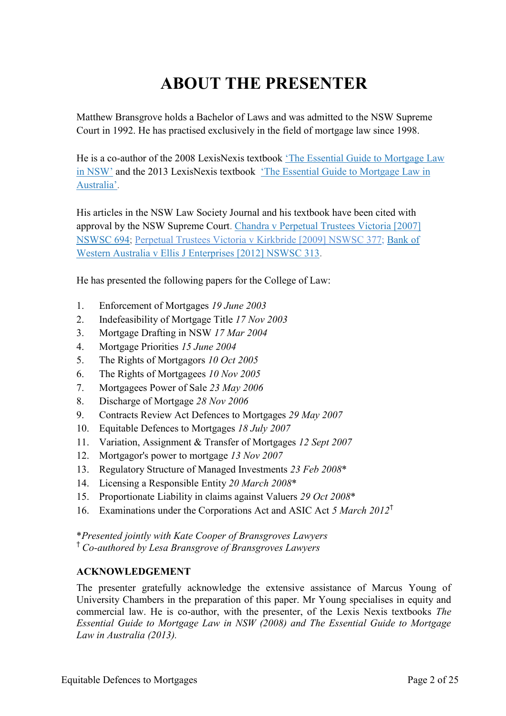# **ABOUT THE PRESENTER**

Matthew Bransgrove holds a Bachelor of Laws and was admitted to the NSW Supreme Court in 1992. He has practised exclusively in the field of mortgage law since 1998.

He is a co-author of the 2008 LexisNexis textbook ['The Essential Guide to Mortgage Law](http://www.bransgroves.com.au/documents/PDF/Book/OrderForm3LR.pdf) [in NSW'](http://www.bransgroves.com.au/documents/PDF/Book/OrderForm3LR.pdf) and the 2013 LexisNexis textbook ['The Essential Guide to Mortgage Law in](http://www.bransgroves.com.au/documents/PDF/Book/EGMLA2ndEdition.pdf) [Australia'.](http://www.bransgroves.com.au/documents/PDF/Book/EGMLA2ndEdition.pdf)

His articles in the NSW Law Society Journal and his textbook have been cited with approval by the NSW Supreme Court. [Chandra v Perpetual Trustees Victoria \[2007\]](http://www.austlii.edu.au/au/cases/nsw/NSWSC/2007/694.html) [NSWSC 694;](http://www.austlii.edu.au/au/cases/nsw/NSWSC/2007/694.html) [Perpetual Trustees Victoria v Kirkbride \[2009\] NSWSC 377;](http://www.austlii.edu.au/au/cases/nsw/NSWSC/2009/377.html) [Bank](http://www.austlii.edu.au/au/cases/nsw/NSWSC/2012/313.html) of [Western Australia v Ellis J Enterprises](http://www.austlii.edu.au/au/cases/nsw/NSWSC/2012/313.html) [2012] NSWSC 313.

He has presented the following papers for the College of Law:

- 1. Enforcement of Mortgages *19 June 2003*
- 2. Indefeasibility of Mortgage Title *17 Nov 2003*
- 3. Mortgage Drafting in NSW *17 Mar 2004*
- 4. Mortgage Priorities *15 June 2004*
- 5. The Rights of Mortgagors *10 Oct 2005*
- 6. The Rights of Mortgagees *10 Nov 2005*
- 7. Mortgagees Power of Sale *23 May 2006*
- 8. Discharge of Mortgage *28 Nov 2006*
- 9. Contracts Review Act Defences to Mortgages *29 May 2007*
- 10. Equitable Defences to Mortgages *18 July 2007*
- 11. Variation, Assignment & Transfer of Mortgages *12 Sept 2007*
- 12. Mortgagor's power to mortgage *13 Nov 2007*
- 13. Regulatory Structure of Managed Investments *23 Feb 2008*\*
- 14. Licensing a Responsible Entity *20 March 2008*\*
- 15. Proportionate Liability in claims against Valuers *29 Oct 2008*\*
- 16. Examinations under the Corporations Act and ASIC Act *5 March 2012*†

\**Presented jointly with Kate Cooper of Bransgroves Lawyers*

† *Co-authored by Lesa Bransgrove of Bransgroves Lawyers*

#### **ACKNOWLEDGEMENT**

The presenter gratefully acknowledge the extensive assistance of Marcus Young of University Chambers in the preparation of this paper. Mr Young specialises in equity and commercial law. He is co-author, with the presenter, of the Lexis Nexis textbooks *The Essential Guide to Mortgage Law in NSW (2008) and The Essential Guide to Mortgage Law in Australia (2013).*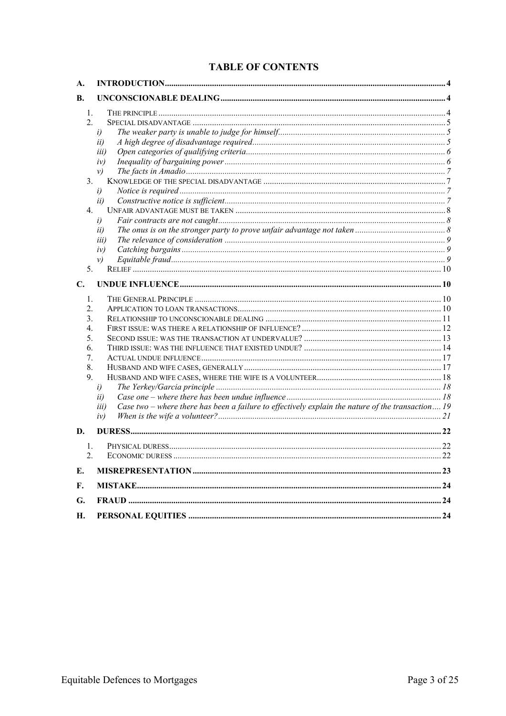### **TABLE OF CONTENTS**

| A.               |                                                                                                                   |  |
|------------------|-------------------------------------------------------------------------------------------------------------------|--|
| <b>B.</b>        |                                                                                                                   |  |
| $\mathbf{1}$ .   |                                                                                                                   |  |
| 2.               |                                                                                                                   |  |
|                  | i)                                                                                                                |  |
|                  | ii)                                                                                                               |  |
|                  | <i>iii</i> )                                                                                                      |  |
|                  | iv)                                                                                                               |  |
|                  | $\nu$                                                                                                             |  |
| 3 <sub>1</sub>   |                                                                                                                   |  |
|                  | i)                                                                                                                |  |
|                  | ii)                                                                                                               |  |
| $\overline{4}$   |                                                                                                                   |  |
|                  | i)                                                                                                                |  |
|                  | ii)                                                                                                               |  |
|                  | <i>iii</i> )                                                                                                      |  |
|                  | iv)                                                                                                               |  |
|                  | $\nu$                                                                                                             |  |
| 5                |                                                                                                                   |  |
| $\mathbf{C}$ .   |                                                                                                                   |  |
| 1.               |                                                                                                                   |  |
| $\overline{2}$ . |                                                                                                                   |  |
| 3.               |                                                                                                                   |  |
| 4.               |                                                                                                                   |  |
| 5.               |                                                                                                                   |  |
| 6.               |                                                                                                                   |  |
| 7.               |                                                                                                                   |  |
| 8.               |                                                                                                                   |  |
| 9.               |                                                                                                                   |  |
|                  | i)                                                                                                                |  |
|                  | ii)                                                                                                               |  |
|                  | Case two - where there has been a failure to effectively explain the nature of the transaction 19<br><i>iii</i> ) |  |
|                  | iv)                                                                                                               |  |
| D.               |                                                                                                                   |  |
| 1.               |                                                                                                                   |  |
| $\overline{2}$ . |                                                                                                                   |  |
| Е.               |                                                                                                                   |  |
|                  |                                                                                                                   |  |
| F.               |                                                                                                                   |  |
| G.               |                                                                                                                   |  |
| Н.               |                                                                                                                   |  |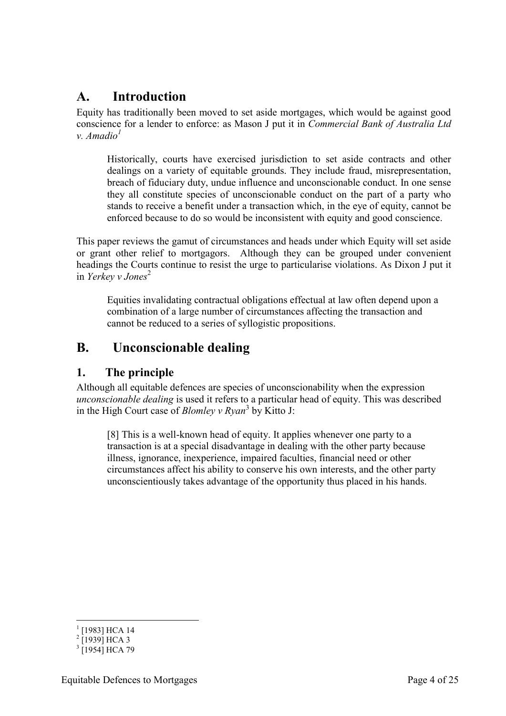# **A. Introduction**

Equity has traditionally been moved to set aside mortgages, which would be against good conscience for a lender to enforce: as Mason J put it in *Commercial Bank of Australia Ltd v. Amadio<sup>1</sup>*

Historically, courts have exercised jurisdiction to set aside contracts and other dealings on a variety of equitable grounds. They include fraud, misrepresentation, breach of fiduciary duty, undue influence and unconscionable conduct. In one sense they all constitute species of unconscionable conduct on the part of a party who stands to receive a benefit under a transaction which, in the eye of equity, cannot be enforced because to do so would be inconsistent with equity and good conscience.

This paper reviews the gamut of circumstances and heads under which Equity will set aside or grant other relief to mortgagors. Although they can be grouped under convenient headings the Courts continue to resist the urge to particularise violations. As Dixon J put it in *Yerkey v Jones*<sup>2</sup>

Equities invalidating contractual obligations effectual at law often depend upon a combination of a large number of circumstances affecting the transaction and cannot be reduced to a series of syllogistic propositions.

# **B. Unconscionable dealing**

### **1. The principle**

Although all equitable defences are species of unconscionability when the expression *unconscionable dealing* is used it refers to a particular head of equity. This was described in the High Court case of *Blomley v Ryan*<sup>3</sup> by Kitto J:

[8] This is a well-known head of equity. It applies whenever one party to a transaction is at a special disadvantage in dealing with the other party because illness, ignorance, inexperience, impaired faculties, financial need or other circumstances affect his ability to conserve his own interests, and the other party unconscientiously takes advantage of the opportunity thus placed in his hands.

<sup>1&</sup>lt;br><sup>1</sup> [1983] HCA 14<br><sup>2</sup> [1939] HCA 3

<sup>&</sup>lt;sup>3</sup> [1954] HCA 79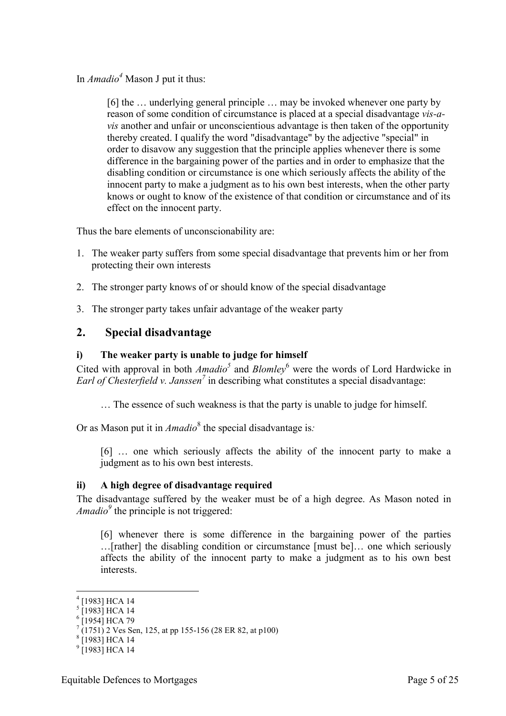In *Amadio<sup>4</sup>* Mason J put it thus:

[6] the … underlying general principle … may be invoked whenever one party by reason of some condition of circumstance is placed at a special disadvantage *vis-avis* another and unfair or unconscientious advantage is then taken of the opportunity thereby created. I qualify the word "disadvantage" by the adjective "special" in order to disavow any suggestion that the principle applies whenever there is some difference in the bargaining power of the parties and in order to emphasize that the disabling condition or circumstance is one which seriously affects the ability of the innocent party to make a judgment as to his own best interests, when the other party knows or ought to know of the existence of that condition or circumstance and of its effect on the innocent party.

Thus the bare elements of unconscionability are:

- 1. The weaker party suffers from some special disadvantage that prevents him or her from protecting their own interests
- 2. The stronger party knows of or should know of the special disadvantage
- 3. The stronger party takes unfair advantage of the weaker party

### **2. Special disadvantage**

#### **i) The weaker party is unable to judge for himself**

Cited with approval in both *Amadio<sup>5</sup>* and *Blomley*<sup>6</sup> were the words of Lord Hardwicke in *Earl of Chesterfield v. Janssen<sup>7</sup>* in describing what constitutes a special disadvantage:

… The essence of such weakness is that the party is unable to judge for himself.

Or as Mason put it in *Amadio*<sup>8</sup> the special disadvantage is:

[6] … one which seriously affects the ability of the innocent party to make a judgment as to his own best interests.

#### **ii) A high degree of disadvantage required**

The disadvantage suffered by the weaker must be of a high degree. As Mason noted in *Amadio<sup>9</sup>* the principle is not triggered:

[6] whenever there is some difference in the bargaining power of the parties …[rather] the disabling condition or circumstance [must be]… one which seriously affects the ability of the innocent party to make a judgment as to his own best interests.

<sup>&</sup>lt;u>.</u> 4 [1983] HCA 14

<sup>5</sup> [1983] HCA 14

 $^{\frac{6}{7}}$ [1954] HCA 79<br><sup>7</sup> (1751) 2 Ves Sen, 125, at pp 155-156 (28 ER 82, at p100)<br><sup>8</sup> [1083] HCA 14

 $8$ [1983] HCA 14

<sup>&</sup>lt;sup>9</sup> [1983] HCA 14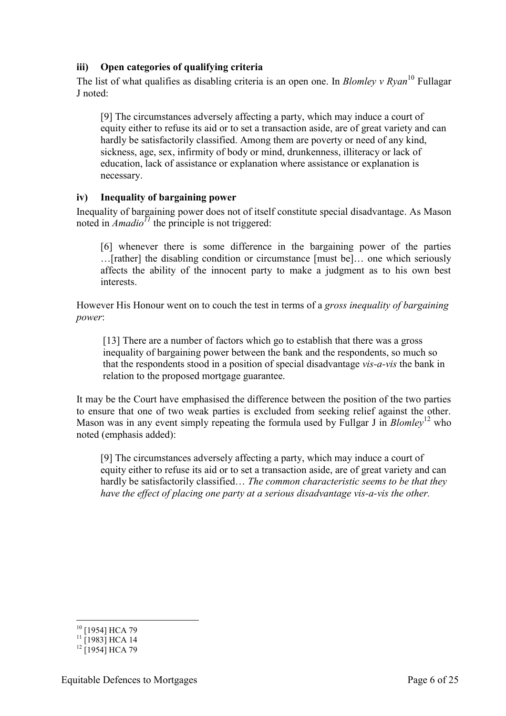### **iii) Open categories of qualifying criteria**

The list of what qualifies as disabling criteria is an open one. In *Blomley v Ryan*<sup>10</sup> Fullagar J noted:

[9] The circumstances adversely affecting a party, which may induce a court of equity either to refuse its aid or to set a transaction aside, are of great variety and can hardly be satisfactorily classified. Among them are poverty or need of any kind, sickness, age, sex, infirmity of body or mind, drunkenness, illiteracy or lack of education, lack of assistance or explanation where assistance or explanation is necessary.

#### **iv) Inequality of bargaining power**

Inequality of bargaining power does not of itself constitute special disadvantage. As Mason noted in  $A$ *madio*<sup> $I$ </sup> the principle is not triggered:

[6] whenever there is some difference in the bargaining power of the parties …[rather] the disabling condition or circumstance [must be]… one which seriously affects the ability of the innocent party to make a judgment as to his own best interests.

However His Honour went on to couch the test in terms of a *gross inequality of bargaining power*:

[13] There are a number of factors which go to establish that there was a gross inequality of bargaining power between the bank and the respondents, so much so that the respondents stood in a position of special disadvantage *vis-a-vis* the bank in relation to the proposed mortgage guarantee.

It may be the Court have emphasised the difference between the position of the two parties to ensure that one of two weak parties is excluded from seeking relief against the other. Mason was in any event simply repeating the formula used by Fullgar J in *Blomley*<sup>12</sup> who noted (emphasis added):

[9] The circumstances adversely affecting a party, which may induce a court of equity either to refuse its aid or to set a transaction aside, are of great variety and can hardly be satisfactorily classified… *The common characteristic seems to be that they have the effect of placing one party at a serious disadvantage vis-a-vis the other.*

<sup>-</sup><sup>10</sup> [1954] HCA 79

 $11$  [1983] HCA 14

<sup>&</sup>lt;sup>12</sup> [1954] HCA 79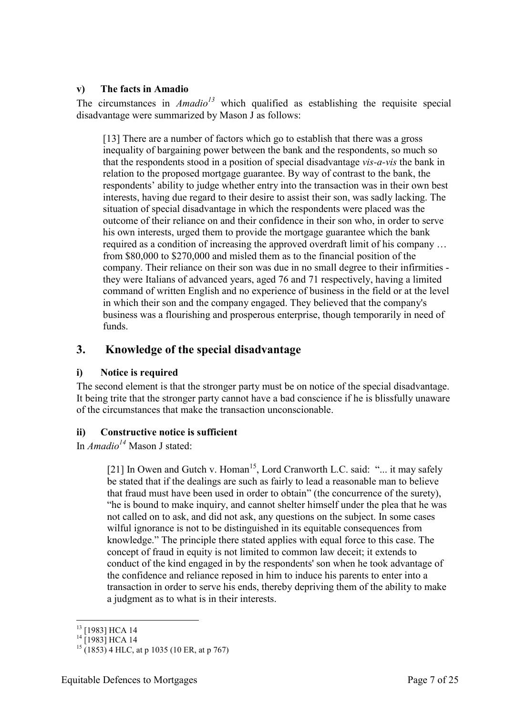#### **v) The facts in Amadio**

The circumstances in *Amadio<sup>13</sup>* which qualified as establishing the requisite special disadvantage were summarized by Mason J as follows:

[13] There are a number of factors which go to establish that there was a gross inequality of bargaining power between the bank and the respondents, so much so that the respondents stood in a position of special disadvantage *vis-a-vis* the bank in relation to the proposed mortgage guarantee. By way of contrast to the bank, the respondents' ability to judge whether entry into the transaction was in their own best interests, having due regard to their desire to assist their son, was sadly lacking. The situation of special disadvantage in which the respondents were placed was the outcome of their reliance on and their confidence in their son who, in order to serve his own interests, urged them to provide the mortgage guarantee which the bank required as a condition of increasing the approved overdraft limit of his company … from \$80,000 to \$270,000 and misled them as to the financial position of the company. Their reliance on their son was due in no small degree to their infirmities they were Italians of advanced years, aged 76 and 71 respectively, having a limited command of written English and no experience of business in the field or at the level in which their son and the company engaged. They believed that the company's business was a flourishing and prosperous enterprise, though temporarily in need of funds.

### **3. Knowledge of the special disadvantage**

#### **i) Notice is required**

The second element is that the stronger party must be on notice of the special disadvantage. It being trite that the stronger party cannot have a bad conscience if he is blissfully unaware of the circumstances that make the transaction unconscionable.

#### **ii) Constructive notice is sufficient**

In *Amadio<sup>14</sup>* Mason J stated:

[21] In Owen and Gutch v. Homan<sup>15</sup>, Lord Cranworth L.C. said: "... it may safely be stated that if the dealings are such as fairly to lead a reasonable man to believe that fraud must have been used in order to obtain" (the concurrence of the surety), "he is bound to make inquiry, and cannot shelter himself under the plea that he was not called on to ask, and did not ask, any questions on the subject. In some cases wilful ignorance is not to be distinguished in its equitable consequences from knowledge." The principle there stated applies with equal force to this case. The concept of fraud in equity is not limited to common law deceit; it extends to conduct of the kind engaged in by the respondents' son when he took advantage of the confidence and reliance reposed in him to induce his parents to enter into a transaction in order to serve his ends, thereby depriving them of the ability to make a judgment as to what is in their interests.

-

<sup>&</sup>lt;sup>13</sup> [1983] HCA 14

<sup>&</sup>lt;sup>14</sup> [1983] HCA 14

 $15$  (1853) 4 HLC, at p 1035 (10 ER, at p 767)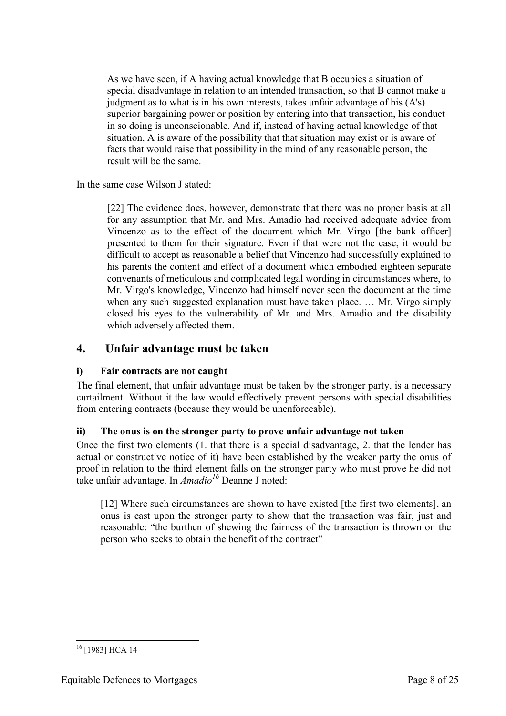As we have seen, if A having actual knowledge that B occupies a situation of special disadvantage in relation to an intended transaction, so that B cannot make a judgment as to what is in his own interests, takes unfair advantage of his (A's) superior bargaining power or position by entering into that transaction, his conduct in so doing is unconscionable. And if, instead of having actual knowledge of that situation, A is aware of the possibility that that situation may exist or is aware of facts that would raise that possibility in the mind of any reasonable person, the result will be the same.

In the same case Wilson J stated:

[22] The evidence does, however, demonstrate that there was no proper basis at all for any assumption that Mr. and Mrs. Amadio had received adequate advice from Vincenzo as to the effect of the document which Mr. Virgo [the bank officer] presented to them for their signature. Even if that were not the case, it would be difficult to accept as reasonable a belief that Vincenzo had successfully explained to his parents the content and effect of a document which embodied eighteen separate convenants of meticulous and complicated legal wording in circumstances where, to Mr. Virgo's knowledge, Vincenzo had himself never seen the document at the time when any such suggested explanation must have taken place. … Mr. Virgo simply closed his eyes to the vulnerability of Mr. and Mrs. Amadio and the disability which adversely affected them.

### **4. Unfair advantage must be taken**

#### **i) Fair contracts are not caught**

The final element, that unfair advantage must be taken by the stronger party, is a necessary curtailment. Without it the law would effectively prevent persons with special disabilities from entering contracts (because they would be unenforceable).

#### **ii) The onus is on the stronger party to prove unfair advantage not taken**

Once the first two elements (1. that there is a special disadvantage, 2. that the lender has actual or constructive notice of it) have been established by the weaker party the onus of proof in relation to the third element falls on the stronger party who must prove he did not take unfair advantage. In *Amadio<sup>16</sup>* Deanne J noted:

[12] Where such circumstances are shown to have existed [the first two elements], an onus is cast upon the stronger party to show that the transaction was fair, just and reasonable: "the burthen of shewing the fairness of the transaction is thrown on the person who seeks to obtain the benefit of the contract"

<sup>-</sup><sup>16</sup> [1983] HCA 14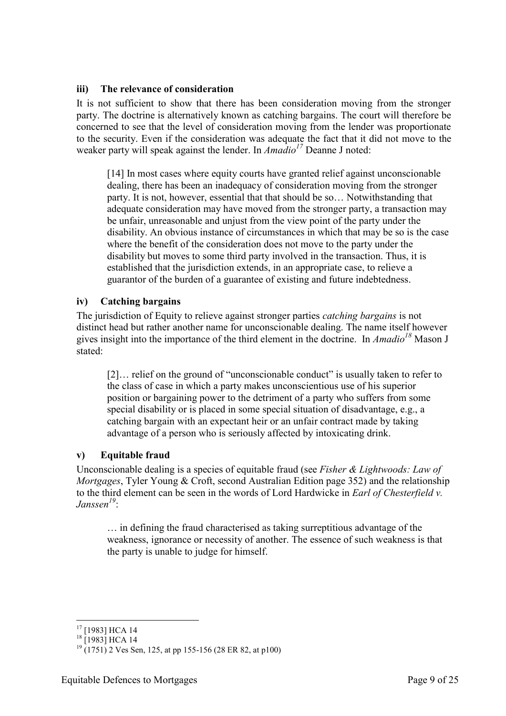#### **iii) The relevance of consideration**

It is not sufficient to show that there has been consideration moving from the stronger party. The doctrine is alternatively known as catching bargains. The court will therefore be concerned to see that the level of consideration moving from the lender was proportionate to the security. Even if the consideration was adequate the fact that it did not move to the weaker party will speak against the lender. In *Amadio<sup>17</sup>* Deanne J noted:

[14] In most cases where equity courts have granted relief against unconscionable dealing, there has been an inadequacy of consideration moving from the stronger party. It is not, however, essential that that should be so… Notwithstanding that adequate consideration may have moved from the stronger party, a transaction may be unfair, unreasonable and unjust from the view point of the party under the disability. An obvious instance of circumstances in which that may be so is the case where the benefit of the consideration does not move to the party under the disability but moves to some third party involved in the transaction. Thus, it is established that the jurisdiction extends, in an appropriate case, to relieve a guarantor of the burden of a guarantee of existing and future indebtedness.

#### **iv) Catching bargains**

The jurisdiction of Equity to relieve against stronger parties *catching bargains* is not distinct head but rather another name for unconscionable dealing. The name itself however gives insight into the importance of the third element in the doctrine. In *Amadio<sup>18</sup>* Mason J stated:

[2]… relief on the ground of "unconscionable conduct" is usually taken to refer to the class of case in which a party makes unconscientious use of his superior position or bargaining power to the detriment of a party who suffers from some special disability or is placed in some special situation of disadvantage, e.g., a catching bargain with an expectant heir or an unfair contract made by taking advantage of a person who is seriously affected by intoxicating drink.

#### **v) Equitable fraud**

Unconscionable dealing is a species of equitable fraud (see *Fisher & Lightwoods: Law of Mortgages*, Tyler Young & Croft, second Australian Edition page 352) and the relationship to the third element can be seen in the words of Lord Hardwicke in *Earl of Chesterfield v. Janssen<sup>19</sup>*:

… in defining the fraud characterised as taking surreptitious advantage of the weakness, ignorance or necessity of another. The essence of such weakness is that the party is unable to judge for himself.

<sup>-</sup><sup>17</sup> [1983] HCA 14

<sup>&</sup>lt;sup>18</sup> [1983] HCA 14

 $19(1751)$  2 Ves Sen, 125, at pp 155-156 (28 ER 82, at p100)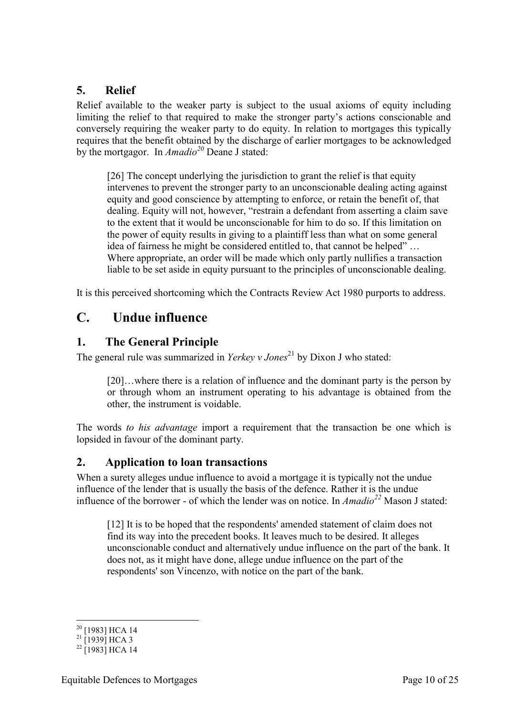### **5. Relief**

Relief available to the weaker party is subject to the usual axioms of equity including limiting the relief to that required to make the stronger party's actions conscionable and conversely requiring the weaker party to do equity. In relation to mortgages this typically requires that the benefit obtained by the discharge of earlier mortgages to be acknowledged by the mortgagor. In *Amadio<sup>20</sup>* Deane J stated:

[26] The concept underlying the jurisdiction to grant the relief is that equity intervenes to prevent the stronger party to an unconscionable dealing acting against equity and good conscience by attempting to enforce, or retain the benefit of, that dealing. Equity will not, however, "restrain a defendant from asserting a claim save to the extent that it would be unconscionable for him to do so. If this limitation on the power of equity results in giving to a plaintiff less than what on some general idea of fairness he might be considered entitled to, that cannot be helped" … Where appropriate, an order will be made which only partly nullifies a transaction liable to be set aside in equity pursuant to the principles of unconscionable dealing.

It is this perceived shortcoming which the Contracts Review Act 1980 purports to address.

# **C. Undue influence**

### **1. The General Principle**

The general rule was summarized in *Yerkey v Jones*<sup>21</sup> by Dixon J who stated:

[20]...where there is a relation of influence and the dominant party is the person by or through whom an instrument operating to his advantage is obtained from the other, the instrument is voidable.

The words *to his advantage* import a requirement that the transaction be one which is lopsided in favour of the dominant party.

### **2. Application to loan transactions**

When a surety alleges undue influence to avoid a mortgage it is typically not the undue influence of the lender that is usually the basis of the defence. Rather it is the undue influence of the borrower - of which the lender was on notice. In *Amadio<sup>22</sup>* Mason J stated:

[12] It is to be hoped that the respondents' amended statement of claim does not find its way into the precedent books. It leaves much to be desired. It alleges unconscionable conduct and alternatively undue influence on the part of the bank. It does not, as it might have done, allege undue influence on the part of the respondents' son Vincenzo, with notice on the part of the bank.

<sup>-</sup><sup>20</sup> [1983] HCA 14

 $^{21}$  [1939] HCA 3

 $^{22}$  [1983] HCA 14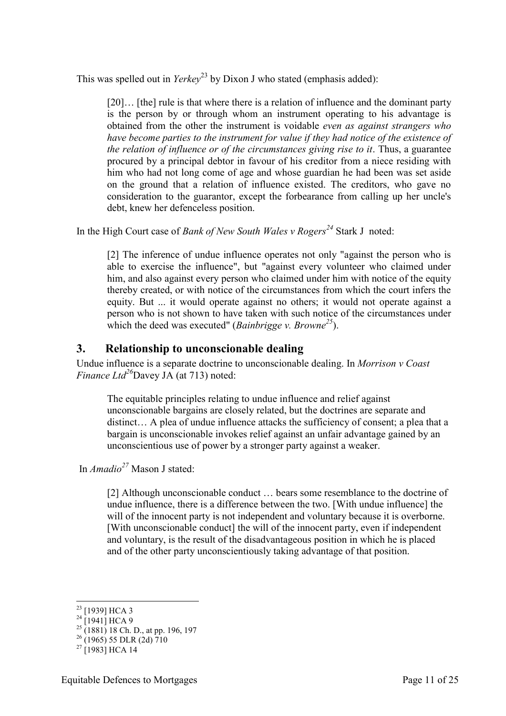This was spelled out in *Yerkey*<sup>23</sup> by Dixon J who stated (emphasis added):

[20]... [the] rule is that where there is a relation of influence and the dominant party is the person by or through whom an instrument operating to his advantage is obtained from the other the instrument is voidable *even as against strangers who have become parties to the instrument for value if they had notice of the existence of the relation of influence or of the circumstances giving rise to it.* Thus, a guarantee procured by a principal debtor in favour of his creditor from a niece residing with him who had not long come of age and whose guardian he had been was set aside on the ground that a relation of influence existed. The creditors, who gave no consideration to the guarantor, except the forbearance from calling up her uncle's debt, knew her defenceless position.

In the High Court case of *Bank of New South Wales v Rogers<sup>24</sup>* Stark J noted:

[2] The inference of undue influence operates not only "against the person who is able to exercise the influence", but "against every volunteer who claimed under him, and also against every person who claimed under him with notice of the equity thereby created, or with notice of the circumstances from which the court infers the equity. But ... it would operate against no others; it would not operate against a person who is not shown to have taken with such notice of the circumstances under which the deed was executed" (*Bainbrigge v. Browne<sup>25</sup>*).

### **3. Relationship to unconscionable dealing**

Undue influence is a separate doctrine to unconscionable dealing. In *Morrison v Coast Finance Ltd*<sup>26</sup>Davey JA (at 713) noted:

The equitable principles relating to undue influence and relief against unconscionable bargains are closely related, but the doctrines are separate and distinct… A plea of undue influence attacks the sufficiency of consent; a plea that a bargain is unconscionable invokes relief against an unfair advantage gained by an unconscientious use of power by a stronger party against a weaker.

In *Amadio<sup>27</sup>* Mason J stated:

[2] Although unconscionable conduct ... bears some resemblance to the doctrine of undue influence, there is a difference between the two. [With undue influence] the will of the innocent party is not independent and voluntary because it is overborne. [With unconscionable conduct] the will of the innocent party, even if independent and voluntary, is the result of the disadvantageous position in which he is placed and of the other party unconscientiously taking advantage of that position.

-

<sup>&</sup>lt;sup>23</sup> [1939] HCA 3

 $^{24}$  [1941] HCA 9

 $^{25}$  (1881) 18 Ch. D., at pp. 196, 197

 $26$  (1965) 55 DLR (2d) 710

 $^{27}$  [1983] HCA 14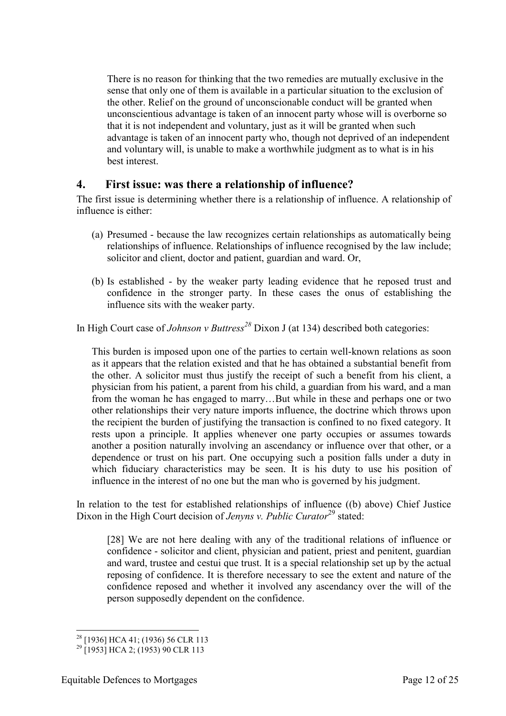There is no reason for thinking that the two remedies are mutually exclusive in the sense that only one of them is available in a particular situation to the exclusion of the other. Relief on the ground of unconscionable conduct will be granted when unconscientious advantage is taken of an innocent party whose will is overborne so that it is not independent and voluntary, just as it will be granted when such advantage is taken of an innocent party who, though not deprived of an independent and voluntary will, is unable to make a worthwhile judgment as to what is in his best interest.

### **4. First issue: was there a relationship of influence?**

The first issue is determining whether there is a relationship of influence. A relationship of influence is either:

- (a) Presumed because the law recognizes certain relationships as automatically being relationships of influence. Relationships of influence recognised by the law include; solicitor and client, doctor and patient, guardian and ward. Or,
- (b) Is established by the weaker party leading evidence that he reposed trust and confidence in the stronger party. In these cases the onus of establishing the influence sits with the weaker party.

In High Court case of *Johnson v Buttress<sup>28</sup>* Dixon J (at 134) described both categories:

This burden is imposed upon one of the parties to certain well-known relations as soon as it appears that the relation existed and that he has obtained a substantial benefit from the other. A solicitor must thus justify the receipt of such a benefit from his client, a physician from his patient, a parent from his child, a guardian from his ward, and a man from the woman he has engaged to marry…But while in these and perhaps one or two other relationships their very nature imports influence, the doctrine which throws upon the recipient the burden of justifying the transaction is confined to no fixed category. It rests upon a principle. It applies whenever one party occupies or assumes towards another a position naturally involving an ascendancy or influence over that other, or a dependence or trust on his part. One occupying such a position falls under a duty in which fiduciary characteristics may be seen. It is his duty to use his position of influence in the interest of no one but the man who is governed by his judgment.

In relation to the test for established relationships of influence ((b) above) Chief Justice Dixon in the High Court decision of *Jenyns v. Public Curator*<sup>29</sup> stated:

[28] We are not here dealing with any of the traditional relations of influence or confidence - solicitor and client, physician and patient, priest and penitent, guardian and ward, trustee and cestui que trust. It is a special relationship set up by the actual reposing of confidence. It is therefore necessary to see the extent and nature of the confidence reposed and whether it involved any ascendancy over the will of the person supposedly dependent on the confidence.

<sup>-</sup><sup>28</sup> [1936] HCA 41; (1936) 56 CLR 113

 $^{29}$  [1953] HCA 2; (1953) 90 CLR 113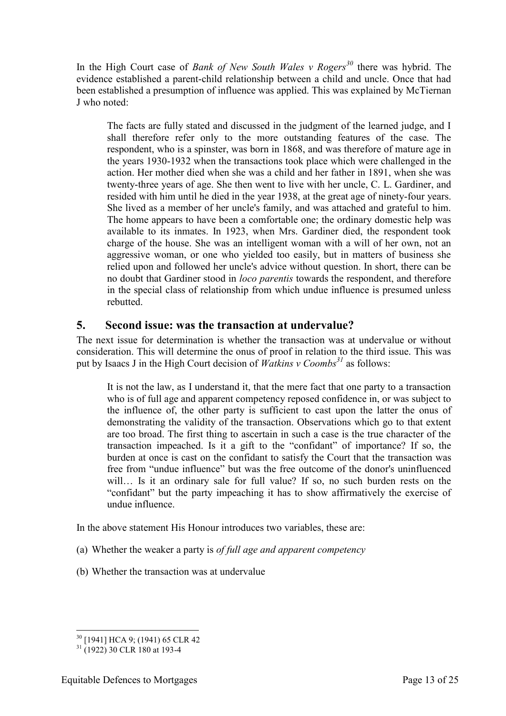In the High Court case of *Bank of New South Wales v Rogers<sup>30</sup>* there was hybrid. The evidence established a parent-child relationship between a child and uncle. Once that had been established a presumption of influence was applied. This was explained by McTiernan J who noted:

The facts are fully stated and discussed in the judgment of the learned judge, and I shall therefore refer only to the more outstanding features of the case. The respondent, who is a spinster, was born in 1868, and was therefore of mature age in the years 1930-1932 when the transactions took place which were challenged in the action. Her mother died when she was a child and her father in 1891, when she was twenty-three years of age. She then went to live with her uncle, C. L. Gardiner, and resided with him until he died in the year 1938, at the great age of ninety-four years. She lived as a member of her uncle's family, and was attached and grateful to him. The home appears to have been a comfortable one; the ordinary domestic help was available to its inmates. In 1923, when Mrs. Gardiner died, the respondent took charge of the house. She was an intelligent woman with a will of her own, not an aggressive woman, or one who yielded too easily, but in matters of business she relied upon and followed her uncle's advice without question. In short, there can be no doubt that Gardiner stood in *loco parentis* towards the respondent, and therefore in the special class of relationship from which undue influence is presumed unless rebutted.

### **5. Second issue: was the transaction at undervalue?**

The next issue for determination is whether the transaction was at undervalue or without consideration. This will determine the onus of proof in relation to the third issue. This was put by Isaacs J in the High Court decision of *Watkins v Coombs<sup>31</sup>* as follows:

It is not the law, as I understand it, that the mere fact that one party to a transaction who is of full age and apparent competency reposed confidence in, or was subject to the influence of, the other party is sufficient to cast upon the latter the onus of demonstrating the validity of the transaction. Observations which go to that extent are too broad. The first thing to ascertain in such a case is the true character of the transaction impeached. Is it a gift to the "confidant" of importance? If so, the burden at once is cast on the confidant to satisfy the Court that the transaction was free from "undue influence" but was the free outcome of the donor's uninfluenced will... Is it an ordinary sale for full value? If so, no such burden rests on the "confidant" but the party impeaching it has to show affirmatively the exercise of undue influence.

In the above statement His Honour introduces two variables, these are:

- (a) Whether the weaker a party is *of full age and apparent competency*
- (b) Whether the transaction was at undervalue

<sup>-</sup><sup>30</sup> [1941] HCA 9; (1941) 65 CLR 42

 $31$  (1922) 30 CLR 180 at 193-4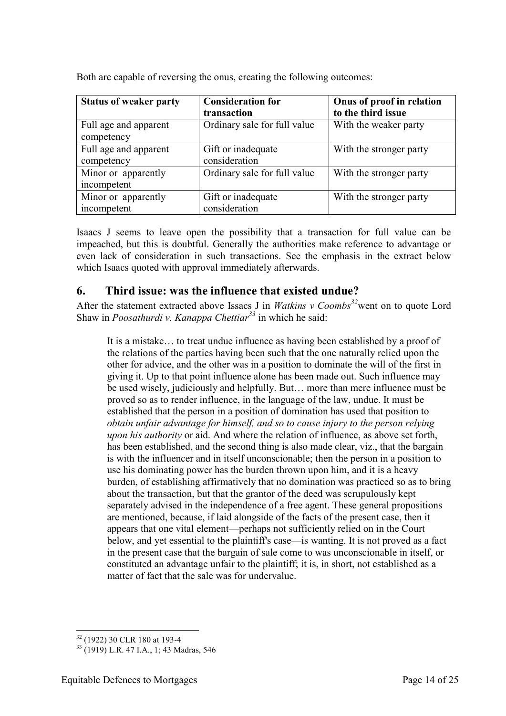| <b>Status of weaker party</b>       | <b>Consideration for</b><br>transaction | Onus of proof in relation<br>to the third issue |
|-------------------------------------|-----------------------------------------|-------------------------------------------------|
| Full age and apparent<br>competency | Ordinary sale for full value            | With the weaker party                           |
| Full age and apparent<br>competency | Gift or inadequate<br>consideration     | With the stronger party                         |
| Minor or apparently<br>incompetent  | Ordinary sale for full value            | With the stronger party                         |
| Minor or apparently<br>incompetent  | Gift or inadequate<br>consideration     | With the stronger party                         |

Both are capable of reversing the onus, creating the following outcomes:

Isaacs J seems to leave open the possibility that a transaction for full value can be impeached, but this is doubtful. Generally the authorities make reference to advantage or even lack of consideration in such transactions. See the emphasis in the extract below which Isaacs quoted with approval immediately afterwards.

### **6. Third issue: was the influence that existed undue?**

After the statement extracted above Issacs J in *Watkins v Coombs<sup>32</sup>*went on to quote Lord Shaw in *Poosathurdi v. Kanappa Chettiar<sup>33</sup>* in which he said:

It is a mistake… to treat undue influence as having been established by a proof of the relations of the parties having been such that the one naturally relied upon the other for advice, and the other was in a position to dominate the will of the first in giving it. Up to that point influence alone has been made out. Such influence may be used wisely, judiciously and helpfully. But… more than mere influence must be proved so as to render influence, in the language of the law, undue. It must be established that the person in a position of domination has used that position to *obtain unfair advantage for himself, and so to cause injury to the person relying upon his authority* or aid. And where the relation of influence, as above set forth, has been established, and the second thing is also made clear, viz., that the bargain is with the influencer and in itself unconscionable; then the person in a position to use his dominating power has the burden thrown upon him, and it is a heavy burden, of establishing affirmatively that no domination was practiced so as to bring about the transaction, but that the grantor of the deed was scrupulously kept separately advised in the independence of a free agent. These general propositions are mentioned, because, if laid alongside of the facts of the present case, then it appears that one vital element—perhaps not sufficiently relied on in the Court below, and yet essential to the plaintiff's case—is wanting. It is not proved as a fact in the present case that the bargain of sale come to was unconscionable in itself, or constituted an advantage unfair to the plaintiff; it is, in short, not established as a matter of fact that the sale was for undervalue.

<sup>-</sup><sup>32</sup> (1922) 30 CLR 180 at 193-4

<sup>33</sup> (1919) L.R. 47 I.A., 1; 43 Madras, 546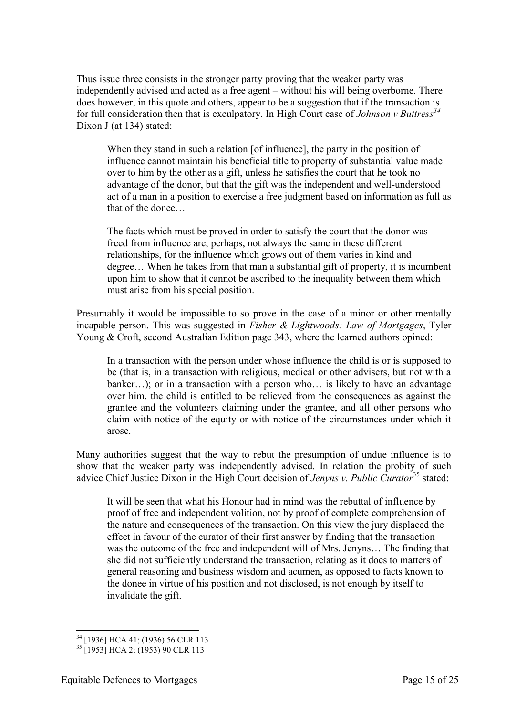Thus issue three consists in the stronger party proving that the weaker party was independently advised and acted as a free agent – without his will being overborne. There does however, in this quote and others, appear to be a suggestion that if the transaction is for full consideration then that is exculpatory. In High Court case of *Johnson v Buttress<sup>34</sup>* Dixon J (at 134) stated:

When they stand in such a relation [of influence], the party in the position of influence cannot maintain his beneficial title to property of substantial value made over to him by the other as a gift, unless he satisfies the court that he took no advantage of the donor, but that the gift was the independent and well-understood act of a man in a position to exercise a free judgment based on information as full as that of the donee…

The facts which must be proved in order to satisfy the court that the donor was freed from influence are, perhaps, not always the same in these different relationships, for the influence which grows out of them varies in kind and degree… When he takes from that man a substantial gift of property, it is incumbent upon him to show that it cannot be ascribed to the inequality between them which must arise from his special position.

Presumably it would be impossible to so prove in the case of a minor or other mentally incapable person. This was suggested in *Fisher & Lightwoods: Law of Mortgages*, Tyler Young & Croft, second Australian Edition page 343, where the learned authors opined:

In a transaction with the person under whose influence the child is or is supposed to be (that is, in a transaction with religious, medical or other advisers, but not with a banker…); or in a transaction with a person who… is likely to have an advantage over him, the child is entitled to be relieved from the consequences as against the grantee and the volunteers claiming under the grantee, and all other persons who claim with notice of the equity or with notice of the circumstances under which it arose.

Many authorities suggest that the way to rebut the presumption of undue influence is to show that the weaker party was independently advised. In relation the probity of such advice Chief Justice Dixon in the High Court decision of *Jenyns v. Public Curator*<sup>35</sup> stated:

It will be seen that what his Honour had in mind was the rebuttal of influence by proof of free and independent volition, not by proof of complete comprehension of the nature and consequences of the transaction. On this view the jury displaced the effect in favour of the curator of their first answer by finding that the transaction was the outcome of the free and independent will of Mrs. Jenyns… The finding that she did not sufficiently understand the transaction, relating as it does to matters of general reasoning and business wisdom and acumen, as opposed to facts known to the donee in virtue of his position and not disclosed, is not enough by itself to invalidate the gift.

<sup>-</sup><sup>34</sup> [1936] HCA 41; (1936) 56 CLR 113

<sup>&</sup>lt;sup>35</sup> [1953] HCA 2; (1953) 90 CLR 113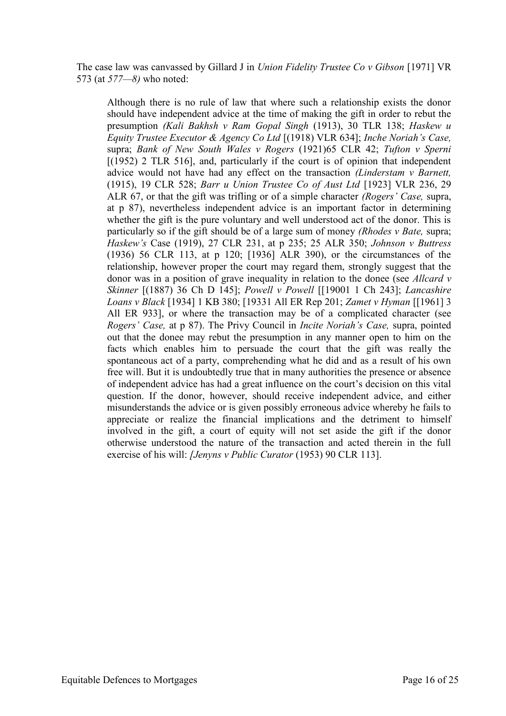The case law was canvassed by Gillard J in *Union Fidelity Trustee Co v Gibson* [1971] VR 573 (at *577—8)* who noted:

Although there is no rule of law that where such a relationship exists the donor should have independent advice at the time of making the gift in order to rebut the presumption *(Kali Bakhsh v Ram Gopal Singh* (1913), 30 TLR 138; *Haskew u Equity Trustee Executor & Agency Co Ltd* [(1918) VLR 634]; *Inche Noriah's Case,*  supra; *Bank of New South Wales v Rogers* (1921)65 CLR 42; *Tufton v Sperni*  [(1952) 2 TLR 516], and, particularly if the court is of opinion that independent advice would not have had any effect on the transaction *(Linderstam v Barnett,*  (1915), 19 CLR 528; *Barr u Union Trustee Co of Aust Ltd* [1923] VLR 236, 29 ALR 67, or that the gift was trifling or of a simple character *(Rogers' Case,* supra, at p 87), nevertheless independent advice is an important factor in determining whether the gift is the pure voluntary and well understood act of the donor. This is particularly so if the gift should be of a large sum of money *(Rhodes v Bate,* supra; *Haskew's* Case (1919), 27 CLR 231, at p 235; 25 ALR 350; *Johnson v Buttress*  (1936) 56 CLR 113, at p 120; [1936] ALR 390), or the circumstances of the relationship, however proper the court may regard them, strongly suggest that the donor was in a position of grave inequality in relation to the donee (see *Allcard v Skinner* [(1887) 36 Ch D 145]; *Powell v Powell* [[19001 1 Ch 243]; *Lancashire Loans v Black* [1934] 1 KB 380; [19331 All ER Rep 201; *Zamet v Hyman* [[1961] 3 All ER 933], or where the transaction may be of a complicated character (see *Rogers' Case,* at p 87). The Privy Council in *Incite Noriah's Case,* supra, pointed out that the donee may rebut the presumption in any manner open to him on the facts which enables him to persuade the court that the gift was really the spontaneous act of a party, comprehending what he did and as a result of his own free will. But it is undoubtedly true that in many authorities the presence or absence of independent advice has had a great influence on the court's decision on this vital question. If the donor, however, should receive independent advice, and either misunderstands the advice or is given possibly erroneous advice whereby he fails to appreciate or realize the financial implications and the detriment to himself involved in the gift, a court of equity will not set aside the gift if the donor otherwise understood the nature of the transaction and acted therein in the full exercise of his will: *[Jenyns v Public Curator* (1953) 90 CLR 113].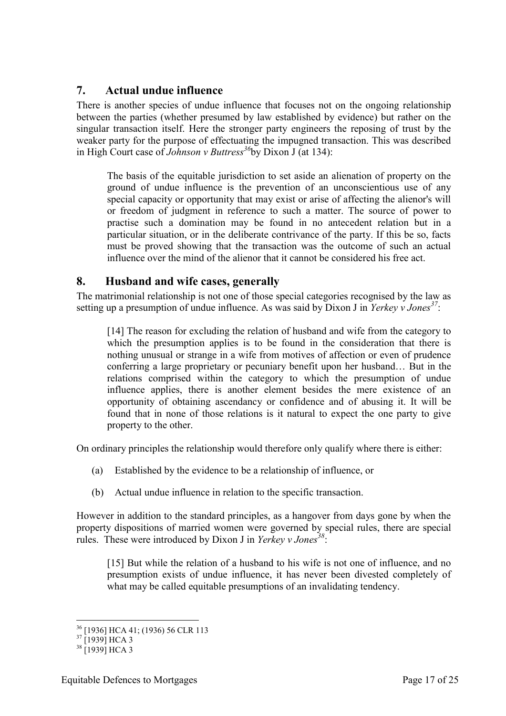### **7. Actual undue influence**

There is another species of undue influence that focuses not on the ongoing relationship between the parties (whether presumed by law established by evidence) but rather on the singular transaction itself. Here the stronger party engineers the reposing of trust by the weaker party for the purpose of effectuating the impugned transaction. This was described in High Court case of *Johnson v Buttress<sup>36</sup>*by Dixon J (at 134):

The basis of the equitable jurisdiction to set aside an alienation of property on the ground of undue influence is the prevention of an unconscientious use of any special capacity or opportunity that may exist or arise of affecting the alienor's will or freedom of judgment in reference to such a matter. The source of power to practise such a domination may be found in no antecedent relation but in a particular situation, or in the deliberate contrivance of the party. If this be so, facts must be proved showing that the transaction was the outcome of such an actual influence over the mind of the alienor that it cannot be considered his free act.

### **8. Husband and wife cases, generally**

The matrimonial relationship is not one of those special categories recognised by the law as setting up a presumption of undue influence. As was said by Dixon J in *Yerkey v Jones<sup>37</sup>*:

[14] The reason for excluding the relation of husband and wife from the category to which the presumption applies is to be found in the consideration that there is nothing unusual or strange in a wife from motives of affection or even of prudence conferring a large proprietary or pecuniary benefit upon her husband… But in the relations comprised within the category to which the presumption of undue influence applies, there is another element besides the mere existence of an opportunity of obtaining ascendancy or confidence and of abusing it. It will be found that in none of those relations is it natural to expect the one party to give property to the other.

On ordinary principles the relationship would therefore only qualify where there is either:

- (a) Established by the evidence to be a relationship of influence, or
- (b) Actual undue influence in relation to the specific transaction.

However in addition to the standard principles, as a hangover from days gone by when the property dispositions of married women were governed by special rules, there are special rules. These were introduced by Dixon J in *Yerkey v Jones<sup>38</sup>*:

[15] But while the relation of a husband to his wife is not one of influence, and no presumption exists of undue influence, it has never been divested completely of what may be called equitable presumptions of an invalidating tendency.

<sup>-</sup><sup>36</sup> [1936] HCA 41; (1936) 56 CLR 113

 $37$  [1939] HCA 3

 $38$  [1939] HCA 3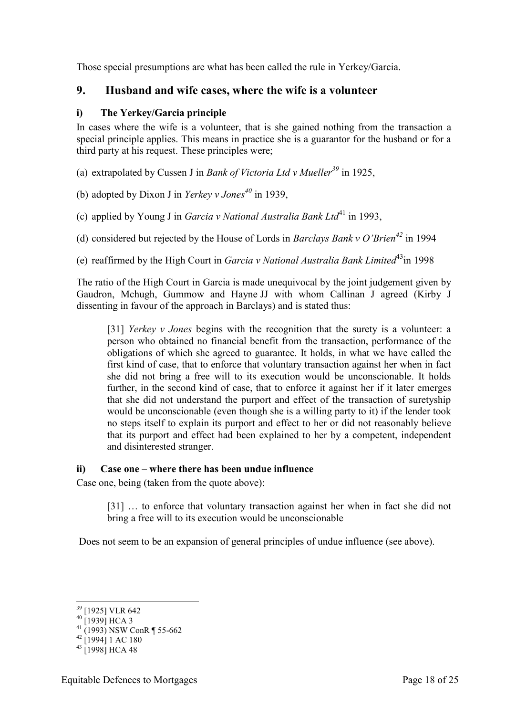Those special presumptions are what has been called the rule in Yerkey/Garcia.

### **9. Husband and wife cases, where the wife is a volunteer**

#### **i) The Yerkey/Garcia principle**

In cases where the wife is a volunteer, that is she gained nothing from the transaction a special principle applies. This means in practice she is a guarantor for the husband or for a third party at his request. These principles were;

(a) extrapolated by Cussen J in *Bank of Victoria Ltd v Mueller<sup>39</sup>* in 1925,

(b) adopted by Dixon J in *Yerkey v Jones<sup>40</sup>* in 1939,

(c) applied by Young J in *Garcia v National Australia Bank Ltd*<sup>41</sup> in 1993,

(d) considered but rejected by the House of Lords in *Barclays Bank v O'Brien<sup>42</sup>* in 1994

(e) reaffirmed by the High Court in *Garcia v National Australia Bank Limited*<sup>43</sup>in 1998

The ratio of the High Court in Garcia is made unequivocal by the joint judgement given by Gaudron, Mchugh, Gummow and Hayne JJ with whom Callinan J agreed (Kirby J dissenting in favour of the approach in Barclays) and is stated thus:

[31] *Yerkey v Jones* begins with the recognition that the surety is a volunteer: a person who obtained no financial benefit from the transaction, performance of the obligations of which she agreed to guarantee. It holds, in what we have called the first kind of case, that to enforce that voluntary transaction against her when in fact she did not bring a free will to its execution would be unconscionable. It holds further, in the second kind of case, that to enforce it against her if it later emerges that she did not understand the purport and effect of the transaction of suretyship would be unconscionable (even though she is a willing party to it) if the lender took no steps itself to explain its purport and effect to her or did not reasonably believe that its purport and effect had been explained to her by a competent, independent and disinterested stranger.

#### **ii) Case one – where there has been undue influence**

Case one, being (taken from the quote above):

[31] ... to enforce that voluntary transaction against her when in fact she did not bring a free will to its execution would be unconscionable

Does not seem to be an expansion of general principles of undue influence (see above).

<sup>-</sup><sup>39</sup> [1925] VLR 642

 $^{40}$  [1939] HCA 3

 $^{41}$  (1993) NSW ConR ¶ 55-662

 $^{42}$  [1994] 1 AC 180

 $43$  [1998] HCA 48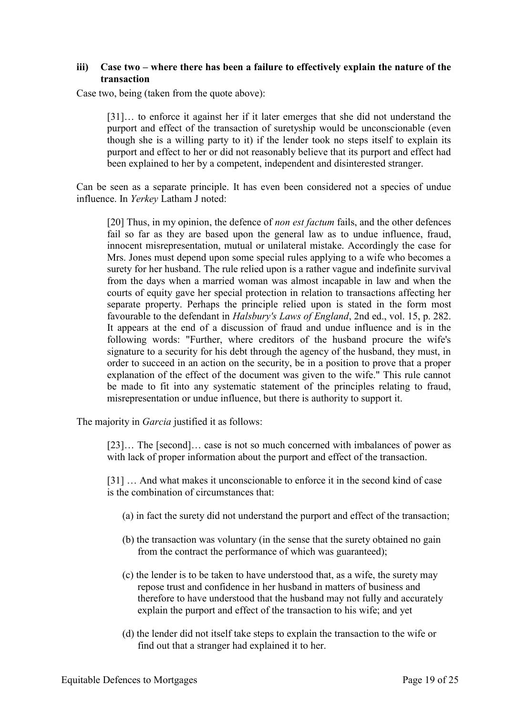#### **iii) Case two – where there has been a failure to effectively explain the nature of the transaction**

Case two, being (taken from the quote above):

[31]… to enforce it against her if it later emerges that she did not understand the purport and effect of the transaction of suretyship would be unconscionable (even though she is a willing party to it) if the lender took no steps itself to explain its purport and effect to her or did not reasonably believe that its purport and effect had been explained to her by a competent, independent and disinterested stranger.

Can be seen as a separate principle. It has even been considered not a species of undue influence. In *Yerkey* Latham J noted:

[20] Thus, in my opinion, the defence of *non est factum* fails, and the other defences fail so far as they are based upon the general law as to undue influence, fraud, innocent misrepresentation, mutual or unilateral mistake. Accordingly the case for Mrs. Jones must depend upon some special rules applying to a wife who becomes a surety for her husband. The rule relied upon is a rather vague and indefinite survival from the days when a married woman was almost incapable in law and when the courts of equity gave her special protection in relation to transactions affecting her separate property. Perhaps the principle relied upon is stated in the form most favourable to the defendant in *Halsbury's Laws of England*, 2nd ed., vol. 15, p. 282. It appears at the end of a discussion of fraud and undue influence and is in the following words: "Further, where creditors of the husband procure the wife's signature to a security for his debt through the agency of the husband, they must, in order to succeed in an action on the security, be in a position to prove that a proper explanation of the effect of the document was given to the wife." This rule cannot be made to fit into any systematic statement of the principles relating to fraud, misrepresentation or undue influence, but there is authority to support it.

The majority in *Garcia* justified it as follows:

[23]... The [second]... case is not so much concerned with imbalances of power as with lack of proper information about the purport and effect of the transaction.

[31] ... And what makes it unconscionable to enforce it in the second kind of case is the combination of circumstances that:

- (a) in fact the surety did not understand the purport and effect of the transaction;
- (b) the transaction was voluntary (in the sense that the surety obtained no gain from the contract the performance of which was guaranteed);
- (c) the lender is to be taken to have understood that, as a wife, the surety may repose trust and confidence in her husband in matters of business and therefore to have understood that the husband may not fully and accurately explain the purport and effect of the transaction to his wife; and yet
- (d) the lender did not itself take steps to explain the transaction to the wife or find out that a stranger had explained it to her.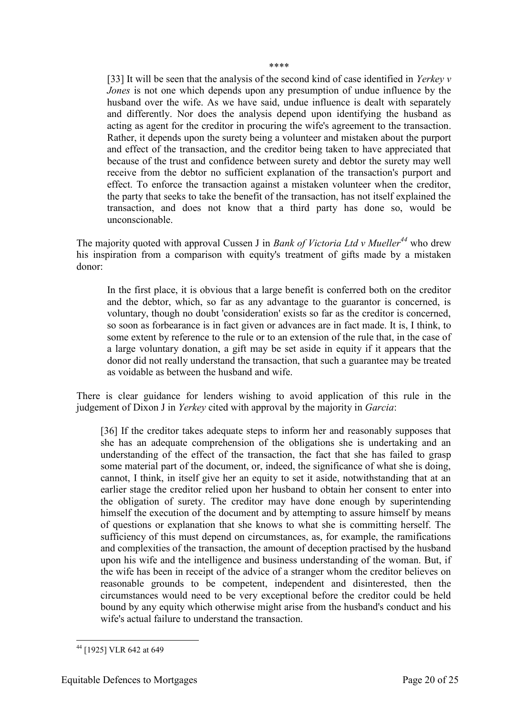[33] It will be seen that the analysis of the second kind of case identified in *Yerkey v Jones* is not one which depends upon any presumption of undue influence by the husband over the wife. As we have said, undue influence is dealt with separately and differently. Nor does the analysis depend upon identifying the husband as acting as agent for the creditor in procuring the wife's agreement to the transaction. Rather, it depends upon the surety being a volunteer and mistaken about the purport and effect of the transaction, and the creditor being taken to have appreciated that because of the trust and confidence between surety and debtor the surety may well receive from the debtor no sufficient explanation of the transaction's purport and effect. To enforce the transaction against a mistaken volunteer when the creditor, the party that seeks to take the benefit of the transaction, has not itself explained the transaction, and does not know that a third party has done so, would be unconscionable.

The majority quoted with approval Cussen J in *Bank of Victoria Ltd v Mueller<sup>44</sup>* who drew his inspiration from a comparison with equity's treatment of gifts made by a mistaken donor:

In the first place, it is obvious that a large benefit is conferred both on the creditor and the debtor, which, so far as any advantage to the guarantor is concerned, is voluntary, though no doubt 'consideration' exists so far as the creditor is concerned, so soon as forbearance is in fact given or advances are in fact made. It is, I think, to some extent by reference to the rule or to an extension of the rule that, in the case of a large voluntary donation, a gift may be set aside in equity if it appears that the donor did not really understand the transaction, that such a guarantee may be treated as voidable as between the husband and wife.

There is clear guidance for lenders wishing to avoid application of this rule in the judgement of Dixon J in *Yerkey* cited with approval by the majority in *Garcia*:

[36] If the creditor takes adequate steps to inform her and reasonably supposes that she has an adequate comprehension of the obligations she is undertaking and an understanding of the effect of the transaction, the fact that she has failed to grasp some material part of the document, or, indeed, the significance of what she is doing, cannot, I think, in itself give her an equity to set it aside, notwithstanding that at an earlier stage the creditor relied upon her husband to obtain her consent to enter into the obligation of surety. The creditor may have done enough by superintending himself the execution of the document and by attempting to assure himself by means of questions or explanation that she knows to what she is committing herself. The sufficiency of this must depend on circumstances, as, for example, the ramifications and complexities of the transaction, the amount of deception practised by the husband upon his wife and the intelligence and business understanding of the woman. But, if the wife has been in receipt of the advice of a stranger whom the creditor believes on reasonable grounds to be competent, independent and disinterested, then the circumstances would need to be very exceptional before the creditor could be held bound by any equity which otherwise might arise from the husband's conduct and his wife's actual failure to understand the transaction.

-

<sup>44</sup> [1925] VLR 642 at 649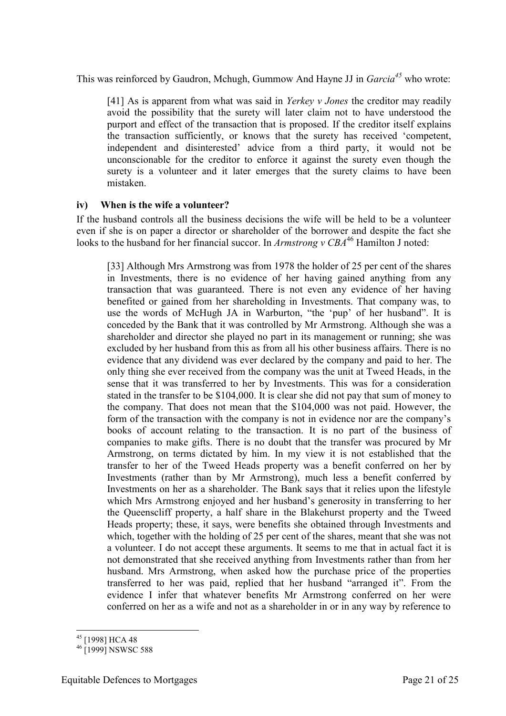This was reinforced by Gaudron, Mchugh, Gummow And Hayne JJ in *Garcia<sup>45</sup>* who wrote:

[41] As is apparent from what was said in *Yerkey v Jones* the creditor may readily avoid the possibility that the surety will later claim not to have understood the purport and effect of the transaction that is proposed. If the creditor itself explains the transaction sufficiently, or knows that the surety has received 'competent, independent and disinterested' advice from a third party, it would not be unconscionable for the creditor to enforce it against the surety even though the surety is a volunteer and it later emerges that the surety claims to have been mistaken.

#### **iv) When is the wife a volunteer?**

If the husband controls all the business decisions the wife will be held to be a volunteer even if she is on paper a director or shareholder of the borrower and despite the fact she looks to the husband for her financial succor. In *Armstrong v CBA*<sup>46</sup> Hamilton J noted:

[33] Although Mrs Armstrong was from 1978 the holder of 25 per cent of the shares in Investments, there is no evidence of her having gained anything from any transaction that was guaranteed. There is not even any evidence of her having benefited or gained from her shareholding in Investments. That company was, to use the words of McHugh JA in Warburton, "the 'pup' of her husband". It is conceded by the Bank that it was controlled by Mr Armstrong. Although she was a shareholder and director she played no part in its management or running; she was excluded by her husband from this as from all his other business affairs. There is no evidence that any dividend was ever declared by the company and paid to her. The only thing she ever received from the company was the unit at Tweed Heads, in the sense that it was transferred to her by Investments. This was for a consideration stated in the transfer to be \$104,000. It is clear she did not pay that sum of money to the company. That does not mean that the \$104,000 was not paid. However, the form of the transaction with the company is not in evidence nor are the company's books of account relating to the transaction. It is no part of the business of companies to make gifts. There is no doubt that the transfer was procured by Mr Armstrong, on terms dictated by him. In my view it is not established that the transfer to her of the Tweed Heads property was a benefit conferred on her by Investments (rather than by Mr Armstrong), much less a benefit conferred by Investments on her as a shareholder. The Bank says that it relies upon the lifestyle which Mrs Armstrong enjoyed and her husband's generosity in transferring to her the Queenscliff property, a half share in the Blakehurst property and the Tweed Heads property; these, it says, were benefits she obtained through Investments and which, together with the holding of 25 per cent of the shares, meant that she was not a volunteer. I do not accept these arguments. It seems to me that in actual fact it is not demonstrated that she received anything from Investments rather than from her husband. Mrs Armstrong, when asked how the purchase price of the properties transferred to her was paid, replied that her husband "arranged it". From the evidence I infer that whatever benefits Mr Armstrong conferred on her were conferred on her as a wife and not as a shareholder in or in any way by reference to

<sup>-</sup><sup>45</sup> [1998] HCA 48

<sup>&</sup>lt;sup>46</sup> [1999] NSWSC 588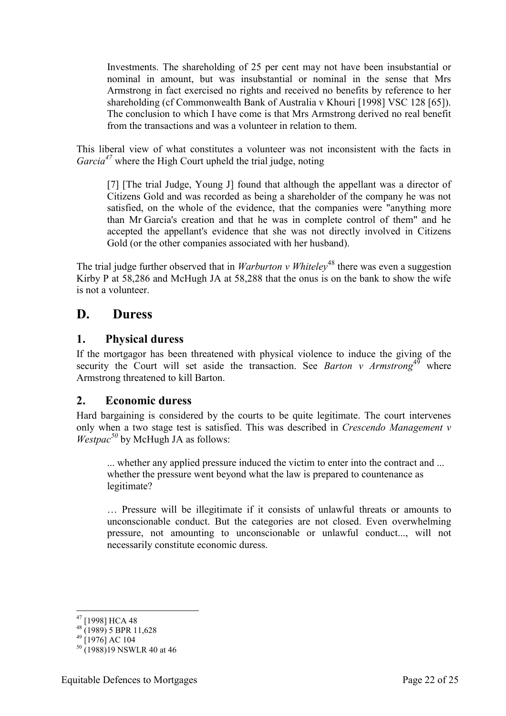Investments. The shareholding of 25 per cent may not have been insubstantial or nominal in amount, but was insubstantial or nominal in the sense that Mrs Armstrong in fact exercised no rights and received no benefits by reference to her shareholding (cf Commonwealth Bank of Australia v Khouri [1998] VSC 128 [65]). The conclusion to which I have come is that Mrs Armstrong derived no real benefit from the transactions and was a volunteer in relation to them.

This liberal view of what constitutes a volunteer was not inconsistent with the facts in *Garcia<sup>47</sup>* where the High Court upheld the trial judge, noting

[7] [The trial Judge, Young J] found that although the appellant was a director of Citizens Gold and was recorded as being a shareholder of the company he was not satisfied, on the whole of the evidence, that the companies were "anything more than Mr Garcia's creation and that he was in complete control of them" and he accepted the appellant's evidence that she was not directly involved in Citizens Gold (or the other companies associated with her husband).

The trial judge further observed that in *Warburton v Whitelev*<sup>48</sup> there was even a suggestion Kirby P at 58,286 and McHugh JA at 58,288 that the onus is on the bank to show the wife is not a volunteer.

## **D. Duress**

### **1. Physical duress**

If the mortgagor has been threatened with physical violence to induce the giving of the security the Court will set aside the transaction. See *Barton v Armstrong*<sup>49</sup> where Armstrong threatened to kill Barton.

### **2. Economic duress**

Hard bargaining is considered by the courts to be quite legitimate. The court intervenes only when a two stage test is satisfied. This was described in *Crescendo Management v Westpac*<sup>50</sup> by McHugh JA as follows:

... whether any applied pressure induced the victim to enter into the contract and ... whether the pressure went beyond what the law is prepared to countenance as legitimate?

… Pressure will be illegitimate if it consists of unlawful threats or amounts to unconscionable conduct. But the categories are not closed. Even overwhelming pressure, not amounting to unconscionable or unlawful conduct..., will not necessarily constitute economic duress.

<sup>-</sup><sup>47</sup> [1998] HCA 48

 $48^{11990}$  11Ch To<br>(1989) 5 BPR 11,628

 $^{49}$  [1976] AC 104

 $50(1988)19$  NSWLR 40 at 46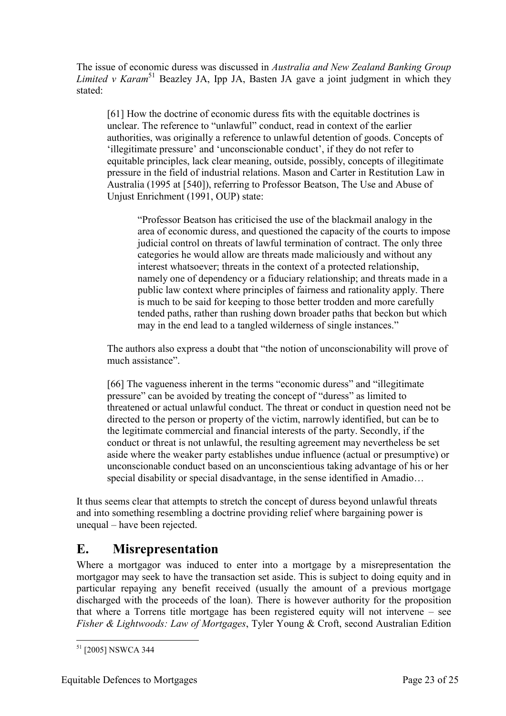The issue of economic duress was discussed in *Australia and New Zealand Banking Group Limited v Karam*<sup>51</sup> Beazley JA, Ipp JA, Basten JA gave a joint judgment in which they stated:

[61] How the doctrine of economic duress fits with the equitable doctrines is unclear. The reference to "unlawful" conduct, read in context of the earlier authorities, was originally a reference to unlawful detention of goods. Concepts of 'illegitimate pressure' and 'unconscionable conduct', if they do not refer to equitable principles, lack clear meaning, outside, possibly, concepts of illegitimate pressure in the field of industrial relations. Mason and Carter in Restitution Law in Australia (1995 at [540]), referring to Professor Beatson, The Use and Abuse of Unjust Enrichment (1991, OUP) state:

"Professor Beatson has criticised the use of the blackmail analogy in the area of economic duress, and questioned the capacity of the courts to impose judicial control on threats of lawful termination of contract. The only three categories he would allow are threats made maliciously and without any interest whatsoever; threats in the context of a protected relationship, namely one of dependency or a fiduciary relationship; and threats made in a public law context where principles of fairness and rationality apply. There is much to be said for keeping to those better trodden and more carefully tended paths, rather than rushing down broader paths that beckon but which may in the end lead to a tangled wilderness of single instances."

The authors also express a doubt that "the notion of unconscionability will prove of much assistance".

[66] The vagueness inherent in the terms "economic duress" and "illegitimate pressure" can be avoided by treating the concept of "duress" as limited to threatened or actual unlawful conduct. The threat or conduct in question need not be directed to the person or property of the victim, narrowly identified, but can be to the legitimate commercial and financial interests of the party. Secondly, if the conduct or threat is not unlawful, the resulting agreement may nevertheless be set aside where the weaker party establishes undue influence (actual or presumptive) or unconscionable conduct based on an unconscientious taking advantage of his or her special disability or special disadvantage, in the sense identified in Amadio…

It thus seems clear that attempts to stretch the concept of duress beyond unlawful threats and into something resembling a doctrine providing relief where bargaining power is unequal – have been rejected.

# **E. Misrepresentation**

Where a mortgagor was induced to enter into a mortgage by a misrepresentation the mortgagor may seek to have the transaction set aside. This is subject to doing equity and in particular repaying any benefit received (usually the amount of a previous mortgage discharged with the proceeds of the loan). There is however authority for the proposition that where a Torrens title mortgage has been registered equity will not intervene – see *Fisher & Lightwoods: Law of Mortgages*, Tyler Young & Croft, second Australian Edition

<sup>-</sup><sup>51</sup> [2005] NSWCA 344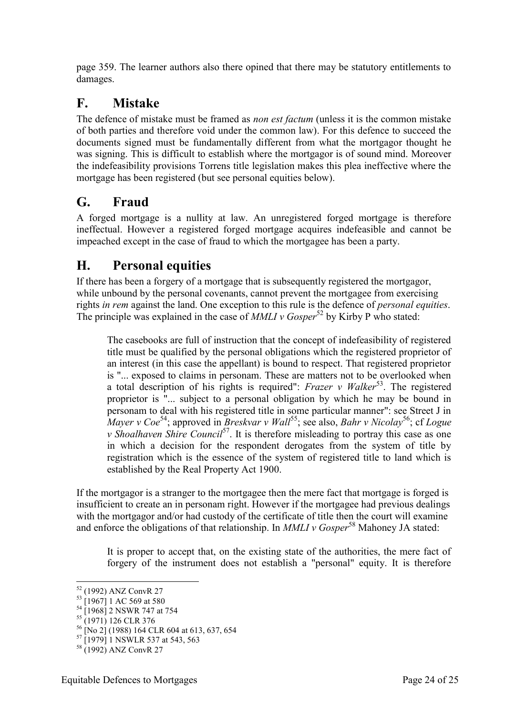page 359. The learner authors also there opined that there may be statutory entitlements to damages.

# **F. Mistake**

The defence of mistake must be framed as *non est factum* (unless it is the common mistake of both parties and therefore void under the common law). For this defence to succeed the documents signed must be fundamentally different from what the mortgagor thought he was signing. This is difficult to establish where the mortgagor is of sound mind. Moreover the indefeasibility provisions Torrens title legislation makes this plea ineffective where the mortgage has been registered (but see personal equities below).

# **G. Fraud**

A forged mortgage is a nullity at law. An unregistered forged mortgage is therefore ineffectual. However a registered forged mortgage acquires indefeasible and cannot be impeached except in the case of fraud to which the mortgagee has been a party.

# **H. Personal equities**

If there has been a forgery of a mortgage that is subsequently registered the mortgagor, while unbound by the personal covenants, cannot prevent the mortgagee from exercising rights *in rem* against the land. One exception to this rule is the defence of *personal equities*. The principle was explained in the case of *MMLI v Gosper*<sup>52</sup> by Kirby P who stated:

The casebooks are full of instruction that the concept of indefeasibility of registered title must be qualified by the personal obligations which the registered proprietor of an interest (in this case the appellant) is bound to respect. That registered proprietor is "... exposed to claims in personam. These are matters not to be overlooked when a total description of his rights is required": *Frazer v Walker*<sup>53</sup>. The registered proprietor is "... subject to a personal obligation by which he may be bound in personam to deal with his registered title in some particular manner": see Street J in *Mayer v Coe*<sup>54</sup>; approved in *Breskvar v Wall*<sup>55</sup>; see also, *Bahr v Nicolay*<sup>56</sup>; cf *Logue v* Shoalhaven Shire Council<sup>57</sup>. It is therefore misleading to portray this case as one in which a decision for the respondent derogates from the system of title by registration which is the essence of the system of registered title to land which is established by the Real Property Act 1900.

If the mortgagor is a stranger to the mortgagee then the mere fact that mortgage is forged is insufficient to create an in personam right. However if the mortgagee had previous dealings with the mortgagor and/or had custody of the certificate of title then the court will examine and enforce the obligations of that relationship. In *MMLI v Gosper*<sup>58</sup> Mahoney JA stated:

It is proper to accept that, on the existing state of the authorities, the mere fact of forgery of the instrument does not establish a "personal" equity. It is therefore

<sup>&</sup>lt;u>.</u> <sup>52</sup> (1992) ANZ ConvR 27

<sup>&</sup>lt;sup>53</sup> [1967] 1 AC 569 at 580

<sup>54</sup> [1968] 2 NSWR 747 at 754

<sup>55</sup> (1971) 126 CLR 376

<sup>56</sup> [No 2] (1988) 164 CLR 604 at 613, 637, 654

<sup>&</sup>lt;sup>57</sup> [1979] 1 NSWLR 537 at 543, 563

<sup>&</sup>lt;sup>58</sup> (1992) ANZ ConvR 27